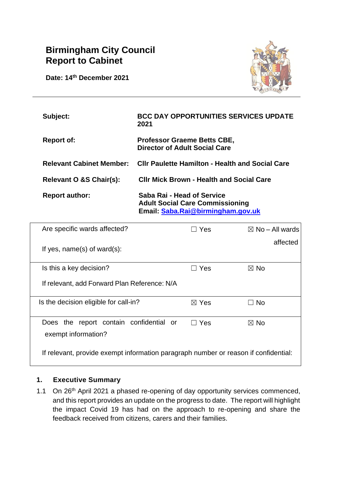# **Birmingham City Council Report to Cabinet**

**Date: 14th December 2021**



| Subject:                | <b>BCC DAY OPPORTUNITIES SERVICES UPDATE</b><br>2021                       |
|-------------------------|----------------------------------------------------------------------------|
| <b>Report of:</b>       | <b>Professor Graeme Betts CBE,</b><br><b>Director of Adult Social Care</b> |
|                         | Relevant Cabinet Member: Cllr Paulette Hamilton - Health and Social Care   |
| Relevant O &S Chair(s): | <b>CIIr Mick Brown - Health and Social Care</b>                            |
| <b>Report author:</b>   | Saba Rai - Head of Service<br><b>Adult Social Care Commissioning</b>       |

**Email: [Saba.Rai@birmingham.gov.uk](mailto:Saba.Rai@birmingham.gov.uk)**

| Are specific wards affected?                                                        | $\Box$ Yes<br>$\boxtimes$ No – All wards |          |  |  |  |
|-------------------------------------------------------------------------------------|------------------------------------------|----------|--|--|--|
| If yes, $name(s)$ of ward $(s)$ :                                                   |                                          | affected |  |  |  |
| Is this a key decision?                                                             | Yes                                      | ⊠ No     |  |  |  |
| If relevant, add Forward Plan Reference: N/A                                        |                                          |          |  |  |  |
| Is the decision eligible for call-in?                                               | $\boxtimes$ Yes                          | No.      |  |  |  |
| Does the report contain confidential or<br>exempt information?                      | $\Box$ Yes                               | ⊠ No     |  |  |  |
| If relevant, provide exempt information paragraph number or reason if confidential: |                                          |          |  |  |  |

## **1. Executive Summary**

1.1 On 26<sup>th</sup> April 2021 a phased re-opening of day opportunity services commenced, and this report provides an update on the progress to date. The report will highlight the impact Covid 19 has had on the approach to re-opening and share the feedback received from citizens, carers and their families.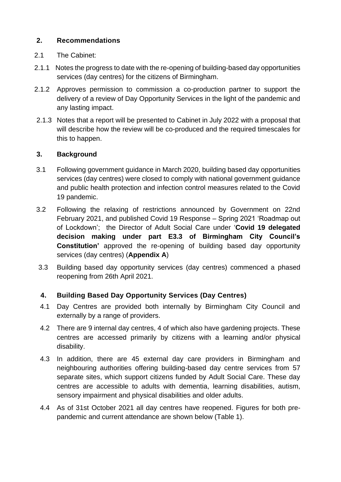## **2. Recommendations**

## 2.1 The Cabinet:

- 2.1.1 Notes the progress to date with the re-opening of building-based day opportunities services (day centres) for the citizens of Birmingham.
- 2.1.2 Approves permission to commission a co-production partner to support the delivery of a review of Day Opportunity Services in the light of the pandemic and any lasting impact.
- 2.1.3 Notes that a report will be presented to Cabinet in July 2022 with a proposal that will describe how the review will be co-produced and the required timescales for this to happen.

## **3. Background**

- 3.1 Following government guidance in March 2020, building based day opportunities services (day centres) were closed to comply with national government guidance and public health protection and infection control measures related to the Covid 19 pandemic.
- 3.2 Following the relaxing of restrictions announced by Government on 22nd February 2021, and published Covid 19 Response – Spring 2021 'Roadmap out of Lockdown'; the Director of Adult Social Care under '**Covid 19 delegated decision making under part E3.3 of Birmingham City Council's Constitution'** approved the re-opening of building based day opportunity services (day centres) (**Appendix A**)
- 3.3 Building based day opportunity services (day centres) commenced a phased reopening from 26th April 2021.

# **4. Building Based Day Opportunity Services (Day Centres)**

- 4.1 Day Centres are provided both internally by Birmingham City Council and externally by a range of providers.
- 4.2 There are 9 internal day centres, 4 of which also have gardening projects. These centres are accessed primarily by citizens with a learning and/or physical disability.
- 4.3 In addition, there are 45 external day care providers in Birmingham and neighbouring authorities offering building-based day centre services from 57 separate sites, which support citizens funded by Adult Social Care. These day centres are accessible to adults with dementia, learning disabilities, autism, sensory impairment and physical disabilities and older adults.
- 4.4 As of 31st October 2021 all day centres have reopened. Figures for both prepandemic and current attendance are shown below (Table 1).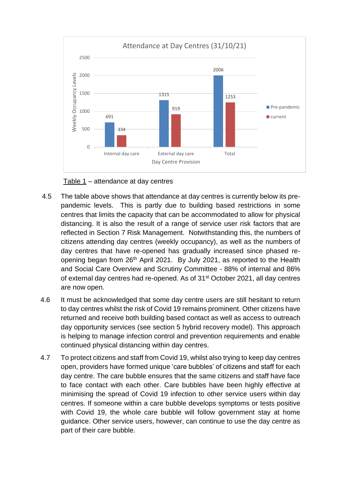

Table 1 – attendance at day centres

- 4.5 The table above shows that attendance at day centres is currently below its prepandemic levels. This is partly due to building based restrictions in some centres that limits the capacity that can be accommodated to allow for physical distancing. It is also the result of a range of service user risk factors that are reflected in Section 7 Risk Management. Notwithstanding this, the numbers of citizens attending day centres (weekly occupancy), as well as the numbers of day centres that have re-opened has gradually increased since phased reopening began from 26th April 2021. By July 2021, as reported to the Health and Social Care Overview and Scrutiny Committee - 88% of internal and 86% of external day centres had re-opened. As of 31st October 2021, all day centres are now open.
- 4.6 It must be acknowledged that some day centre users are still hesitant to return to day centres whilst the risk of Covid 19 remains prominent. Other citizens have returned and receive both building based contact as well as access to outreach day opportunity services (see section 5 hybrid recovery model). This approach is helping to manage infection control and prevention requirements and enable continued physical distancing within day centres.
- 4.7 To protect citizens and staff from Covid 19, whilst also trying to keep day centres open, providers have formed unique 'care bubbles' of citizens and staff for each day centre. The care bubble ensures that the same citizens and staff have face to face contact with each other. Care bubbles have been highly effective at minimising the spread of Covid 19 infection to other service users within day centres. If someone within a care bubble develops symptoms or tests positive with Covid 19, the whole care bubble will follow government stay at home guidance. Other service users, however, can continue to use the day centre as part of their care bubble.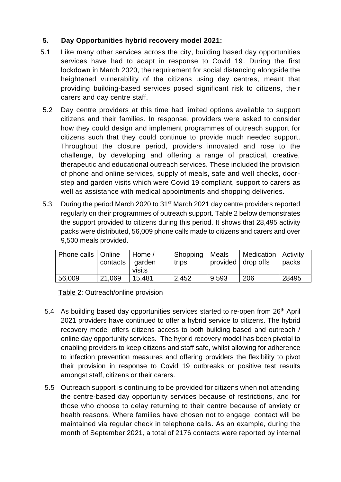# **5. Day Opportunities hybrid recovery model 2021:**

- 5.1 Like many other services across the city, building based day opportunities services have had to adapt in response to Covid 19. During the first lockdown in March 2020, the requirement for social distancing alongside the heightened vulnerability of the citizens using day centres, meant that providing building-based services posed significant risk to citizens, their carers and day centre staff.
- 5.2 Day centre providers at this time had limited options available to support citizens and their families. In response, providers were asked to consider how they could design and implement programmes of outreach support for citizens such that they could continue to provide much needed support. Throughout the closure period, providers innovated and rose to the challenge, by developing and offering a range of practical, creative, therapeutic and educational outreach services. These included the provision of phone and online services, supply of meals, safe and well checks, doorstep and garden visits which were Covid 19 compliant, support to carers as well as assistance with medical appointments and shopping deliveries.
- 5.3 During the period March 2020 to 31st March 2021 day centre providers reported regularly on their programmes of outreach support. Table 2 below demonstrates the support provided to citizens during this period. It shows that 28,495 activity packs were distributed, 56,009 phone calls made to citizens and carers and over 9,500 meals provided.

| Phone calls   Online | contacts   garden | Home /<br>visits | Shopping<br>trips | Meals<br>provided   drop offs | Medication   Activity | packs |
|----------------------|-------------------|------------------|-------------------|-------------------------------|-----------------------|-------|
| 56,009               | 21.069            | 15.481           | 2,452             | 9,593                         | 206                   | 28495 |

Table 2: Outreach/online provision

- 5.4 As building based day opportunities services started to re-open from 26<sup>th</sup> April 2021 providers have continued to offer a hybrid service to citizens. The hybrid recovery model offers citizens access to both building based and outreach / online day opportunity services. The hybrid recovery model has been pivotal to enabling providers to keep citizens and staff safe, whilst allowing for adherence to infection prevention measures and offering providers the flexibility to pivot their provision in response to Covid 19 outbreaks or positive test results amongst staff, citizens or their carers.
- 5.5 Outreach support is continuing to be provided for citizens when not attending the centre-based day opportunity services because of restrictions, and for those who choose to delay returning to their centre because of anxiety or health reasons. Where families have chosen not to engage, contact will be maintained via regular check in telephone calls. As an example, during the month of September 2021, a total of 2176 contacts were reported by internal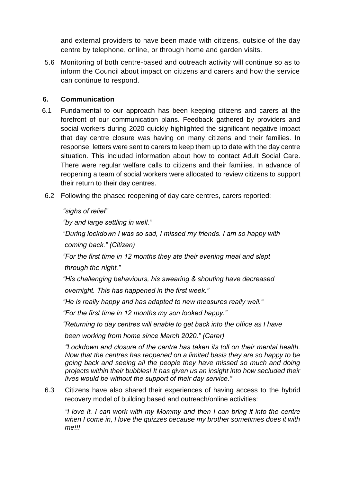and external providers to have been made with citizens, outside of the day centre by telephone, online, or through home and garden visits.

5.6 Monitoring of both centre-based and outreach activity will continue so as to inform the Council about impact on citizens and carers and how the service can continue to respond.

# **6. Communication**

- 6.1 Fundamental to our approach has been keeping citizens and carers at the forefront of our communication plans. Feedback gathered by providers and social workers during 2020 quickly highlighted the significant negative impact that day centre closure was having on many citizens and their families. In response, letters were sent to carers to keep them up to date with the day centre situation. This included information about how to contact Adult Social Care. There were regular welfare calls to citizens and their families. In advance of reopening a team of social workers were allocated to review citizens to support their return to their day centres.
- 6.2 Following the phased reopening of day care centres, carers reported:

*"sighs of relief"* 

*"by and large settling in well."* 

*"During lockdown I was so sad, I missed my friends. I am so happy with coming back." (Citizen)* 

*"For the first time in 12 months they ate their evening meal and slept through the night."* 

*"His challenging behaviours, his swearing & shouting have decreased overnight. This has happened in the first week."* 

*"He is really happy and has adapted to new measures really well."* 

*"For the first time in 12 months my son looked happy."* 

*"Returning to day centres will enable to get back into the office as I have* 

 *been working from home since March 2020." (Carer)* 

*"Lockdown and closure of the centre has taken its toll on their mental health. Now that the centres has reopened on a limited basis they are so happy to be going back and seeing all the people they have missed so much and doing projects within their bubbles! It has given us an insight into how secluded their lives would be without the support of their day service."*

6.3 Citizens have also shared their experiences of having access to the hybrid recovery model of building based and outreach/online activities:

*"I love it. I can work with my Mommy and then I can bring it into the centre when I come in, I love the quizzes because my brother sometimes does it with me!!!*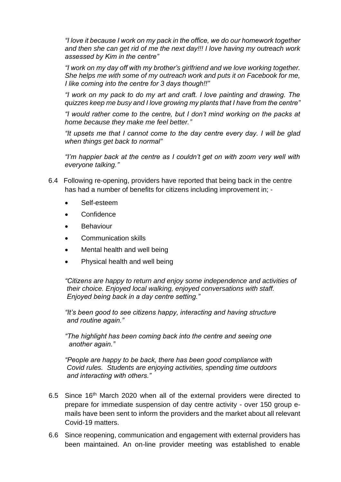*"I love it because I work on my pack in the office, we do our homework together and then she can get rid of me the next day!!! I love having my outreach work assessed by Kim in the centre"* 

*"I work on my day off with my brother's girlfriend and we love working together. She helps me with some of my outreach work and puts it on Facebook for me, I like coming into the centre for 3 days though!!"* 

*"I work on my pack to do my art and craft. I love painting and drawing. The quizzes keep me busy and I love growing my plants that I have from the centre"* 

*"I would rather come to the centre, but I don't mind working on the packs at home because they make me feel better."*

*"It upsets me that I cannot come to the day centre every day. I will be glad when things get back to normal"*

*"I'm happier back at the centre as I couldn't get on with zoom very well with everyone talking."*

- 6.4 Following re-opening, providers have reported that being back in the centre has had a number of benefits for citizens including improvement in: -
	- Self-esteem
	- **Confidence**
	- **Behaviour**
	- Communication skills
	- Mental health and well being
	- Physical health and well being

*"Citizens are happy to return and enjoy some independence and activities of their choice. Enjoyed local walking, enjoyed conversations with staff. Enjoyed being back in a day centre setting."*

*"It's been good to see citizens happy, interacting and having structure and routine again."*

*"The highlight has been coming back into the centre and seeing one another again."*

*"People are happy to be back, there has been good compliance with Covid rules. Students are enjoying activities, spending time outdoors and interacting with others."*

- 6.5 Since 16th March 2020 when all of the external providers were directed to prepare for immediate suspension of day centre activity - over 150 group emails have been sent to inform the providers and the market about all relevant Covid-19 matters.
- 6.6 Since reopening, communication and engagement with external providers has been maintained. An on-line provider meeting was established to enable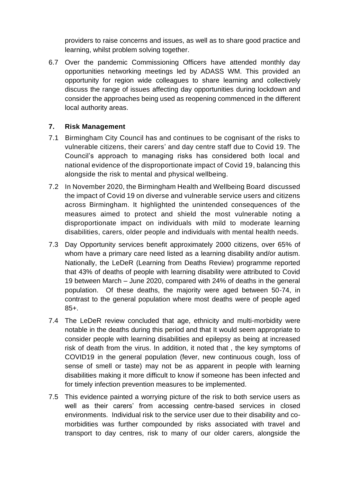providers to raise concerns and issues, as well as to share good practice and learning, whilst problem solving together.

6.7 Over the pandemic Commissioning Officers have attended monthly day opportunities networking meetings led by ADASS WM. This provided an opportunity for region wide colleagues to share learning and collectively discuss the range of issues affecting day opportunities during lockdown and consider the approaches being used as reopening commenced in the different local authority areas.

## **7. Risk Management**

- 7.1 Birmingham City Council has and continues to be cognisant of the risks to vulnerable citizens, their carers' and day centre staff due to Covid 19. The Council's approach to managing risks has considered both local and national evidence of the disproportionate impact of Covid 19, balancing this alongside the risk to mental and physical wellbeing.
- 7.2 In November 2020, the Birmingham Health and Wellbeing Board discussed the impact of Covid 19 on diverse and vulnerable service users and citizens across Birmingham. It highlighted the unintended consequences of the measures aimed to protect and shield the most vulnerable noting a disproportionate impact on individuals with mild to moderate learning disabilities, carers, older people and individuals with mental health needs.
- 7.3 Day Opportunity services benefit approximately 2000 citizens, over 65% of whom have a primary care need listed as a learning disability and/or autism. Nationally, the LeDeR (Learning from Deaths Review) programme reported that 43% of deaths of people with learning disability were attributed to Covid 19 between March – June 2020, compared with 24% of deaths in the general population. Of these deaths, the majority were aged between 50-74, in contrast to the general population where most deaths were of people aged 85+.
- 7.4 The LeDeR review concluded that age, ethnicity and multi-morbidity were notable in the deaths during this period and that It would seem appropriate to consider people with learning disabilities and epilepsy as being at increased risk of death from the virus. In addition, it noted that , the key symptoms of COVID19 in the general population (fever, new continuous cough, loss of sense of smell or taste) may not be as apparent in people with learning disabilities making it more difficult to know if someone has been infected and for timely infection prevention measures to be implemented.
- 7.5 This evidence painted a worrying picture of the risk to both service users as well as their carers' from accessing centre-based services in closed environments. Individual risk to the service user due to their disability and comorbidities was further compounded by risks associated with travel and transport to day centres, risk to many of our older carers, alongside the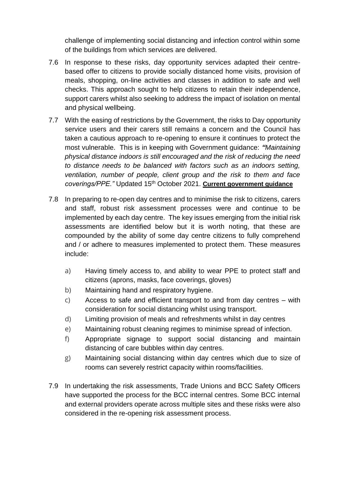challenge of implementing social distancing and infection control within some of the buildings from which services are delivered.

- 7.6 In response to these risks, day opportunity services adapted their centrebased offer to citizens to provide socially distanced home visits, provision of meals, shopping, on-line activities and classes in addition to safe and well checks. This approach sought to help citizens to retain their independence, support carers whilst also seeking to address the impact of isolation on mental and physical wellbeing.
- 7.7 With the easing of restrictions by the Government, the risks to Day opportunity service users and their carers still remains a concern and the Council has taken a cautious approach to re-opening to ensure it continues to protect the most vulnerable. This is in keeping with Government guidance: *"Maintaining physical distance indoors is still encouraged and the risk of reducing the need to distance needs to be balanced with factors such as an indoors setting, ventilation, number of people, client group and the risk to them and face coverings/PPE."* Updated 15th October 2021. **Current [government](https://www.gov.uk/guidance/covid-19-coronavirus-restrictions-what-you-can-and-cannot-do) guidance**
- 7.8 In preparing to re-open day centres and to minimise the risk to citizens, carers and staff, robust risk assessment processes were and continue to be implemented by each day centre. The key issues emerging from the initial risk assessments are identified below but it is worth noting, that these are compounded by the ability of some day centre citizens to fully comprehend and / or adhere to measures implemented to protect them. These measures include:
	- a) Having timely access to, and ability to wear PPE to protect staff and citizens (aprons, masks, face coverings, gloves)
	- b) Maintaining hand and respiratory hygiene.
	- c) Access to safe and efficient transport to and from day centres with consideration for social distancing whilst using transport.
	- d) Limiting provision of meals and refreshments whilst in day centres
	- e) Maintaining robust cleaning regimes to minimise spread of infection.
	- f) Appropriate signage to support social distancing and maintain distancing of care bubbles within day centres.
	- g) Maintaining social distancing within day centres which due to size of rooms can severely restrict capacity within rooms/facilities.
- 7.9 In undertaking the risk assessments, Trade Unions and BCC Safety Officers have supported the process for the BCC internal centres. Some BCC internal and external providers operate across multiple sites and these risks were also considered in the re-opening risk assessment process.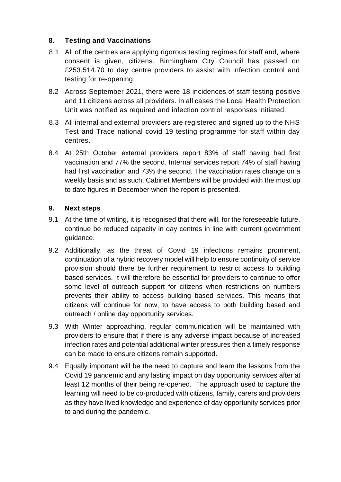# **8. Testing and Vaccinations**

- 8.1 All of the centres are applying rigorous testing regimes for staff and, where consent is given, citizens. Birmingham City Council has passed on £253,514.70 to day centre providers to assist with infection control and testing for re-opening.
- 8.2 Across September 2021, there were 18 incidences of staff testing positive and 11 citizens across all providers. In all cases the Local Health Protection Unit was notified as required and infection control responses initiated.
- 8.3 All internal and external providers are registered and signed up to the NHS Test and Trace national covid 19 testing programme for staff within day centres.
- 8.4 At 25th October external providers report 83% of staff having had first vaccination and 77% the second. Internal services report 74% of staff having had first vaccination and 73% the second. The vaccination rates change on a weekly basis and as such, Cabinet Members will be provided with the most up to date figures in December when the report is presented.

# **9. Next steps**

- 9.1 At the time of writing, it is recognised that there will, for the foreseeable future, continue be reduced capacity in day centres in line with current government guidance.
- 9.2 Additionally, as the threat of Covid 19 infections remains prominent, continuation of a hybrid recovery model will help to ensure continuity of service provision should there be further requirement to restrict access to building based services. It will therefore be essential for providers to continue to offer some level of outreach support for citizens when restrictions on numbers prevents their ability to access building based services. This means that citizens will continue for now, to have access to both building based and outreach / online day opportunity services.
- 9.3 With Winter approaching, regular communication will be maintained with providers to ensure that if there is any adverse impact because of increased infection rates and potential additional winter pressures then a timely response can be made to ensure citizens remain supported.
- 9.4 Equally important will be the need to capture and learn the lessons from the Covid 19 pandemic and any lasting impact on day opportunity services after at least 12 months of their being re-opened. The approach used to capture the learning will need to be co-produced with citizens, family, carers and providers as they have lived knowledge and experience of day opportunity services prior to and during the pandemic.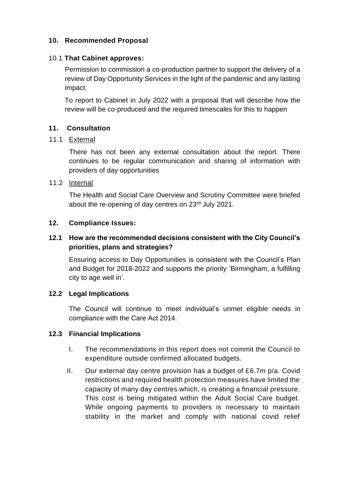# **10. Recommended Proposal**

#### 10.1 **That Cabinet approves:**

Permission to commission a co-production partner to support the delivery of a review of Day Opportunity Services in the light of the pandemic and any lasting impact.

To report to Cabinet in July 2022 with a proposal that will describe how the review will be co-produced and the required timescales for this to happen

## **11. Consultation**

#### 11.1 External

 There has not been any external consultation about the report. There continues to be regular communication and sharing of information with providers of day opportunities

## 11.2 Internal

 The Health and Social Care Overview and Scrutiny Committee were briefed about the re-opening of day centres on 23rd July 2021.

#### **12. Compliance Issues:**

# **12.1 How are the recommended decisions consistent with the City Council's priorities, plans and strategies?**

Ensuring access to Day Opportunities is consistent with the Council's Plan and Budget for 2018-2022 and supports the priority 'Birmingham, a fulfilling city to age well in'.

## **12.2 Legal Implications**

 The Council will continue to meet individual's unmet eligible needs in compliance with the Care Act 2014.

## **12.3 Financial Implications**

- I. The recommendations in this report does not commit the Council to expenditure outside confirmed allocated budgets.
- II. Our external day centre provision has a budget of £6.7m p/a. Covid restrictions and required health protection measures have limited the capacity of many day centres which, is creating a financial pressure. This cost is being mitigated within the Adult Social Care budget. While ongoing payments to providers is necessary to maintain stability in the market and comply with national covid relief